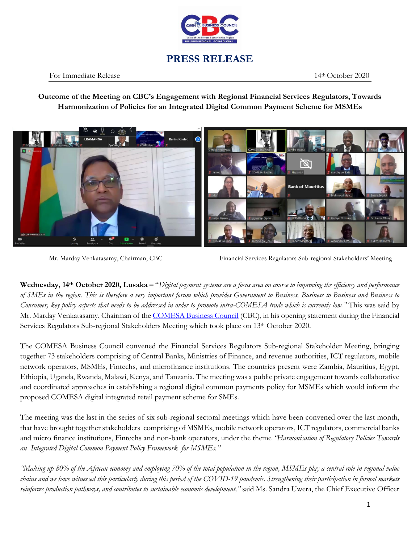

## **PRESS RELEASE**

## For Immediate Release 14th October 2020

**Outcome of the Meeting on CBC's Engagement with Regional Financial Services Regulators, Towards Harmonization of Policies for an Integrated Digital Common Payment Scheme for MSMEs**



Mr. Marday Venkatasamy, Chairman, CBC Financial Services Regulators Sub-regional Stakeholders' Meeting

**Wednesday, 14th October 2020, Lusaka –** "*Digital payment systems are a focus area on course to improving the efficiency and performance of SMEs in the region. This is therefore a very important forum which provides Government to Business, Business to Business and Business to Consumer, key policy aspects that needs to be addressed in order to promote intra-COMESA trade which is currently low."* This was said by Mr. Marday Venkatasamy, Chairman of the [COMESA Business Council](http://comesabusinesscouncil.org/) (CBC), in his opening statement during the Financial Services Regulators Sub-regional Stakeholders Meeting which took place on 13th October 2020.

The COMESA Business Council convened the Financial Services Regulators Sub-regional Stakeholder Meeting, bringing together 73 stakeholders comprising of Central Banks, Ministries of Finance, and revenue authorities, ICT regulators, mobile network operators, MSMEs, Fintechs, and microfinance institutions. The countries present were Zambia, Mauritius, Egypt, Ethiopia, Uganda, Rwanda, Malawi, Kenya, and Tanzania. The meeting was a public private engagement towards collaborative and coordinated approaches in establishing a regional digital common payments policy for MSMEs which would inform the proposed COMESA digital integrated retail payment scheme for SMEs.

The meeting was the last in the series of six sub-regional sectoral meetings which have been convened over the last month, that have brought together stakeholders comprising of MSMEs, mobile network operators, ICT regulators, commercial banks and micro finance institutions, Fintechs and non-bank operators, under the theme *"Harmonisation of Regulatory Policies Towards an Integrated Digital Common Payment Policy Framework for MSMEs."*

*"Making up 80% of the African economy and employing 70% of the total population in the region, MSMEs play a central role in regional value chains and we have witnessed this particularly during this period of the COVID-19 pandemic. Strengthening their participation in formal markets reinforces production pathways, and contributes to sustainable economic development,"* said Ms. Sandra Uwera, the Chief Executive Officer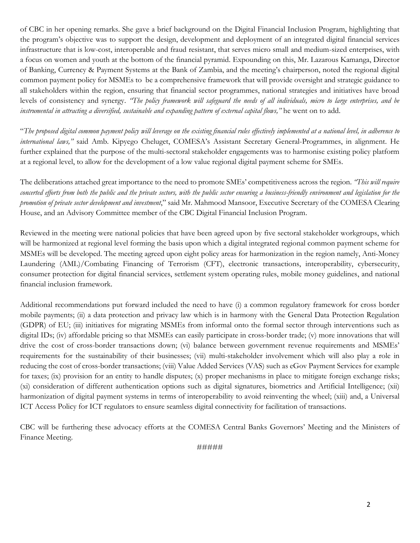of CBC in her opening remarks. She gave a brief background on the Digital Financial Inclusion Program, highlighting that the program's objective was to support the design, development and deployment of an integrated digital financial services infrastructure that is low-cost, interoperable and fraud resistant, that serves micro small and medium-sized enterprises, with a focus on women and youth at the bottom of the financial pyramid. Expounding on this, Mr. Lazarous Kamanga, Director of Banking, Currency & Payment Systems at the Bank of Zambia, and the meeting's chairperson, noted the regional digital common payment policy for MSMEs to be a comprehensive framework that will provide oversight and strategic guidance to all stakeholders within the region, ensuring that financial sector programmes, national strategies and initiatives have broad levels of consistency and synergy. *"The policy framework will safeguard the needs of all individuals, micro to large enterprises, and be instrumental in attracting a diversified, sustainable and expanding pattern of external capital flows,"* he went on to add.

"*The proposed digital common payment policy will leverage on the existing financial rules effectively implemented at a national level, in adherence to international laws,"* said Amb. Kipyego Cheluget, COMESA's Assistant Secretary General-Programmes, in alignment. He further explained that the purpose of the multi-sectoral stakeholder engagements was to harmonise existing policy platform at a regional level, to allow for the development of a low value regional digital payment scheme for SMEs.

The deliberations attached great importance to the need to promote SMEs' competitiveness across the region. *"This will require concerted efforts from both the public and the private sectors, with the public sector ensuring a business-friendly environment and legislation for the promotion of private sector development and investment*," said Mr. Mahmood Mansoor, Executive Secretary of the COMESA Clearing House, and an Advisory Committee member of the CBC Digital Financial Inclusion Program.

Reviewed in the meeting were national policies that have been agreed upon by five sectoral stakeholder workgroups, which will be harmonized at regional level forming the basis upon which a digital integrated regional common payment scheme for MSMEs will be developed. The meeting agreed upon eight policy areas for harmonization in the region namely, Anti-Money Laundering (AML)/Combating Financing of Terrorism (CFT), electronic transactions, interoperability, cybersecurity, consumer protection for digital financial services, settlement system operating rules, mobile money guidelines, and national financial inclusion framework.

Additional recommendations put forward included the need to have (i) a common regulatory framework for cross border mobile payments; (ii) a data protection and privacy law which is in harmony with the General Data Protection Regulation (GDPR) of EU; (iii) initiatives for migrating MSMEs from informal onto the formal sector through interventions such as digital IDs; (iv) affordable pricing so that MSMEs can easily participate in cross-border trade; (v) more innovations that will drive the cost of cross-border transactions down; (vi) balance between government revenue requirements and MSMEs' requirements for the sustainability of their businesses; (vii) multi-stakeholder involvement which will also play a role in reducing the cost of cross-border transactions; (viii) Value Added Services (VAS) such as eGov Payment Services for example for taxes; (ix) provision for an entity to handle disputes; (x) proper mechanisms in place to mitigate foreign exchange risks; (xi) consideration of different authentication options such as digital signatures, biometrics and Artificial Intelligence; (xii) harmonization of digital payment systems in terms of interoperability to avoid reinventing the wheel; (xiii) and, a Universal ICT Access Policy for ICT regulators to ensure seamless digital connectivity for facilitation of transactions.

CBC will be furthering these advocacy efforts at the COMESA Central Banks Governors' Meeting and the Ministers of Finance Meeting.

#####